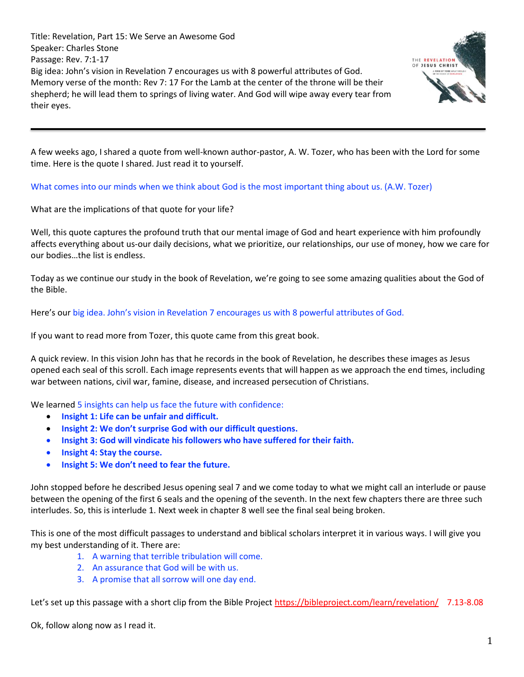Title: Revelation, Part 15: We Serve an Awesome God Speaker: Charles Stone Passage: Rev. 7:1-17 Big idea: John's vision in Revelation 7 encourages us with 8 powerful attributes of God. Memory verse of the month: Rev 7: 17 For the Lamb at the center of the throne will be their shepherd; he will lead them to springs of living water. And God will wipe away every tear from their eyes.



A few weeks ago, I shared a quote from well-known author-pastor, A. W. Tozer, who has been with the Lord for some time. Here is the quote I shared. Just read it to yourself.

What comes into our minds when we think about God is the most important thing about us. (A.W. Tozer)

What are the implications of that quote for your life?

Well, this quote captures the profound truth that our mental image of God and heart experience with him profoundly affects everything about us-our daily decisions, what we prioritize, our relationships, our use of money, how we care for our bodies…the list is endless.

Today as we continue our study in the book of Revelation, we're going to see some amazing qualities about the God of the Bible.

Here's our big idea. John's vision in Revelation 7 encourages us with 8 powerful attributes of God.

If you want to read more from Tozer, this quote came from this great book.

A quick review. In this vision John has that he records in the book of Revelation, he describes these images as Jesus opened each seal of this scroll. Each image represents events that will happen as we approach the end times, including war between nations, civil war, famine, disease, and increased persecution of Christians.

We learned 5 insights can help us face the future with confidence:

- **Insight 1: Life can be unfair and difficult.**
- **Insight 2: We don't surprise God with our difficult questions.**
- **Insight 3: God will vindicate his followers who have suffered for their faith.**
- **Insight 4: Stay the course.**
- **Insight 5: We don't need to fear the future.**

John stopped before he described Jesus opening seal 7 and we come today to what we might call an interlude or pause between the opening of the first 6 seals and the opening of the seventh. In the next few chapters there are three such interludes. So, this is interlude 1. Next week in chapter 8 well see the final seal being broken.

This is one of the most difficult passages to understand and biblical scholars interpret it in various ways. I will give you my best understanding of it. There are:

- 1. A warning that terrible tribulation will come.
- 2. An assurance that God will be with us.
- 3. A promise that all sorrow will one day end.

Let's set up this passage with a short clip from the Bible Project <https://bibleproject.com/learn/revelation/>7.13-8.08

Ok, follow along now as I read it.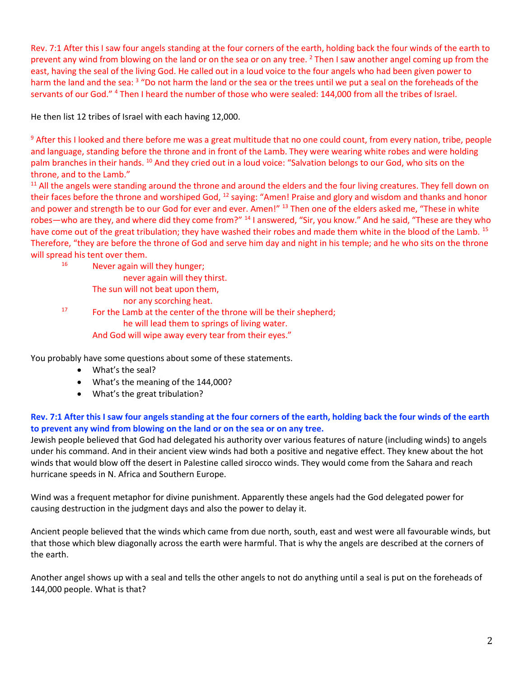Rev. 7:1 After this I saw four angels standing at the four corners of the earth, holding back the four winds of the earth to prevent any wind from blowing on the land or on the sea or on any tree. <sup>2</sup> Then I saw another angel coming up from the east, having the seal of the living God. He called out in a loud voice to the four angels who had been given power to harm the land and the sea: <sup>3</sup> "Do not harm the land or the sea or the trees until we put a seal on the foreheads of the servants of our God." <sup>4</sup> Then I heard the number of those who were sealed: 144,000 from all the tribes of Israel.

He then list 12 tribes of Israel with each having 12,000.

<sup>9</sup> After this I looked and there before me was a great multitude that no one could count, from every nation, tribe, people and language, standing before the throne and in front of the Lamb. They were wearing white robes and were holding palm branches in their hands. <sup>10</sup> And they cried out in a loud voice: "Salvation belongs to our God, who sits on the throne, and to the Lamb."

<sup>11</sup> All the angels were standing around the throne and around the elders and the four living creatures. They fell down on their faces before the throne and worshiped God, <sup>12</sup> saying: "Amen! Praise and glory and wisdom and thanks and honor and power and strength be to our God for ever and ever. Amen!" 13 Then one of the elders asked me, "These in white robes—who are they, and where did they come from?" <sup>14</sup> I answered, "Sir, you know." And he said, "These are they who have come out of the great tribulation; they have washed their robes and made them white in the blood of the Lamb. <sup>15</sup> Therefore, "they are before the throne of God and serve him day and night in his temple; and he who sits on the throne will spread his tent over them.

<sup>16</sup> Never again will they hunger;

never again will they thirst.

- The sun will not beat upon them,
	- nor any scorching heat.

<sup>17</sup> For the Lamb at the center of the throne will be their shepherd; he will lead them to springs of living water. And God will wipe away every tear from their eyes."

You probably have some questions about some of these statements.

- What's the seal?
- What's the meaning of the 144,000?
- What's the great tribulation?

## **Rev. 7:1 After this I saw four angels standing at the four corners of the earth, holding back the four winds of the earth to prevent any wind from blowing on the land or on the sea or on any tree.**

Jewish people believed that God had delegated his authority over various features of nature (including winds) to angels under his command. And in their ancient view winds had both a positive and negative effect. They knew about the hot winds that would blow off the desert in Palestine called sirocco winds. They would come from the Sahara and reach hurricane speeds in N. Africa and Southern Europe.

Wind was a frequent metaphor for divine punishment. Apparently these angels had the God delegated power for causing destruction in the judgment days and also the power to delay it.

Ancient people believed that the winds which came from due north, south, east and west were all favourable winds, but that those which blew diagonally across the earth were harmful. That is why the angels are described at the corners of the earth.

Another angel shows up with a seal and tells the other angels to not do anything until a seal is put on the foreheads of 144,000 people. What is that?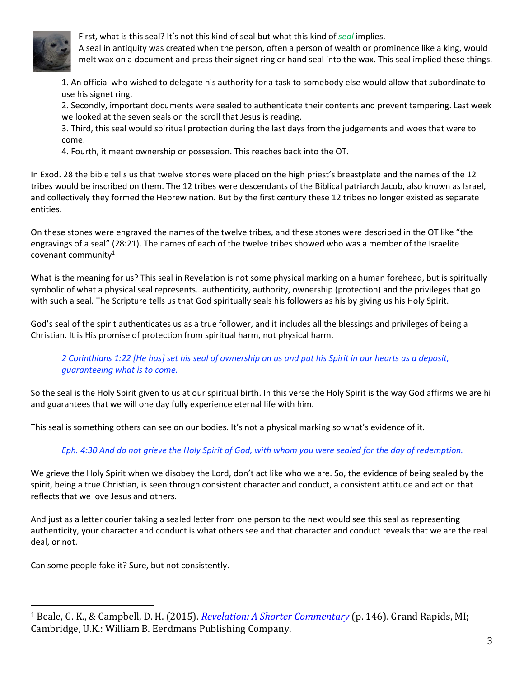

First, what is this seal? It's not this kind of seal but what this kind of *seal* implies.

A seal in antiquity was created when the person, often a person of wealth or prominence like a king, would melt wax on a document and press their signet ring or hand seal into the wax. This seal implied these things.

1. An official who wished to delegate his authority for a task to somebody else would allow that subordinate to use his signet ring.

2. Secondly, important documents were sealed to authenticate their contents and prevent tampering. Last week we looked at the seven seals on the scroll that Jesus is reading.

3. Third, this seal would spiritual protection during the last days from the judgements and woes that were to come.

4. Fourth, it meant ownership or possession. This reaches back into the OT.

In Exod. 28 the bible tells us that twelve stones were placed on the high priest's breastplate and the names of the 12 tribes would be inscribed on them. The 12 tribes were descendants of the Biblical patriarch Jacob, also known as Israel, and collectively they formed the Hebrew nation. But by the first century these 12 tribes no longer existed as separate entities.

On these stones were engraved the names of the twelve tribes, and these stones were described in the OT like "the engravings of a seal" (28:21). The names of each of the twelve tribes showed who was a member of the Israelite covenant community $1$ 

What is the meaning for us? This seal in Revelation is not some physical marking on a human forehead, but is spiritually symbolic of what a physical seal represents…authenticity, authority, ownership (protection) and the privileges that go with such a seal. The Scripture tells us that God spiritually seals his followers as his by giving us his Holy Spirit.

God's seal of the spirit authenticates us as a true follower, and it includes all the blessings and privileges of being a Christian. It is His promise of protection from spiritual harm, not physical harm.

## *2 Corinthians 1:22 [He has] set his seal of ownership on us and put his Spirit in our hearts as a deposit, guaranteeing what is to come.*

So the seal is the Holy Spirit given to us at our spiritual birth. In this verse the Holy Spirit is the way God affirms we are hi and guarantees that we will one day fully experience eternal life with him.

This seal is something others can see on our bodies. It's not a physical marking so what's evidence of it.

## *Eph. 4:30 And do not grieve the Holy Spirit of God, with whom you were sealed for the day of redemption.*

We grieve the Holy Spirit when we disobey the Lord, don't act like who we are. So, the evidence of being sealed by the spirit, being a true Christian, is seen through consistent character and conduct, a consistent attitude and action that reflects that we love Jesus and others.

And just as a letter courier taking a sealed letter from one person to the next would see this seal as representing authenticity, your character and conduct is what others see and that character and conduct reveals that we are the real deal, or not.

Can some people fake it? Sure, but not consistently.

<sup>1</sup> Beale, G. K., & Campbell, D. H. (2015). *[Revelation: A Shorter Commentary](https://ref.ly/logosres/rvltnshrtrcmm?ref=Bible.Re7.2-3&off=5494&ctx=cially+in+the+LXX).+~In+Exod.+28:17%E2%80%9321%2c+t)* (p. 146). Grand Rapids, MI; Cambridge, U.K.: William B. Eerdmans Publishing Company.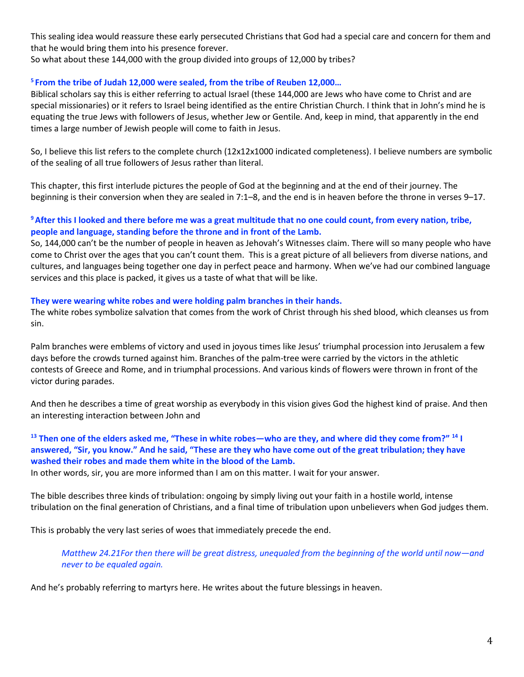This sealing idea would reassure these early persecuted Christians that God had a special care and concern for them and that he would bring them into his presence forever.

So what about these 144,000 with the group divided into groups of 12,000 by tribes?

# **<sup>5</sup>From the tribe of Judah 12,000 were sealed, from the tribe of Reuben 12,000…**

Biblical scholars say this is either referring to actual Israel (these 144,000 are Jews who have come to Christ and are special missionaries) or it refers to Israel being identified as the entire Christian Church. I think that in John's mind he is equating the true Jews with followers of Jesus, whether Jew or Gentile. And, keep in mind, that apparently in the end times a large number of Jewish people will come to faith in Jesus.

So, I believe this list refers to the complete church (12x12x1000 indicated completeness). I believe numbers are symbolic of the sealing of all true followers of Jesus rather than literal.

This chapter, this first interlude pictures the people of God at the beginning and at the end of their journey. The beginning is their conversion when they are sealed in 7:1–8, and the end is in heaven before the throne in verses 9–17.

## **<sup>9</sup>After this I looked and there before me was a great multitude that no one could count, from every nation, tribe, people and language, standing before the throne and in front of the Lamb.**

So, 144,000 can't be the number of people in heaven as Jehovah's Witnesses claim. There will so many people who have come to Christ over the ages that you can't count them. This is a great picture of all believers from diverse nations, and cultures, and languages being together one day in perfect peace and harmony. When we've had our combined language services and this place is packed, it gives us a taste of what that will be like.

# **They were wearing white robes and were holding palm branches in their hands.**

The white robes symbolize salvation that comes from the work of Christ through his shed blood, which cleanses us from sin.

Palm branches were emblems of victory and used in joyous times like Jesus' triumphal procession into Jerusalem a few days before the crowds turned against him. Branches of the palm-tree were carried by the victors in the athletic contests of Greece and Rome, and in triumphal processions. And various kinds of flowers were thrown in front of the victor during parades.

And then he describes a time of great worship as everybody in this vision gives God the highest kind of praise. And then an interesting interaction between John and

## **<sup>13</sup> Then one of the elders asked me, "These in white robes—who are they, and where did they come from?" <sup>14</sup> I answered, "Sir, you know." And he said, "These are they who have come out of the great tribulation; they have washed their robes and made them white in the blood of the Lamb.**

In other words, sir, you are more informed than I am on this matter. I wait for your answer.

The bible describes three kinds of tribulation: ongoing by simply living out your faith in a hostile world, intense tribulation on the final generation of Christians, and a final time of tribulation upon unbelievers when God judges them.

This is probably the very last series of woes that immediately precede the end.

*Matthew 24.21For then there will be great distress, unequaled from the beginning of the world until now—and never to be equaled again.*

And he's probably referring to martyrs here. He writes about the future blessings in heaven.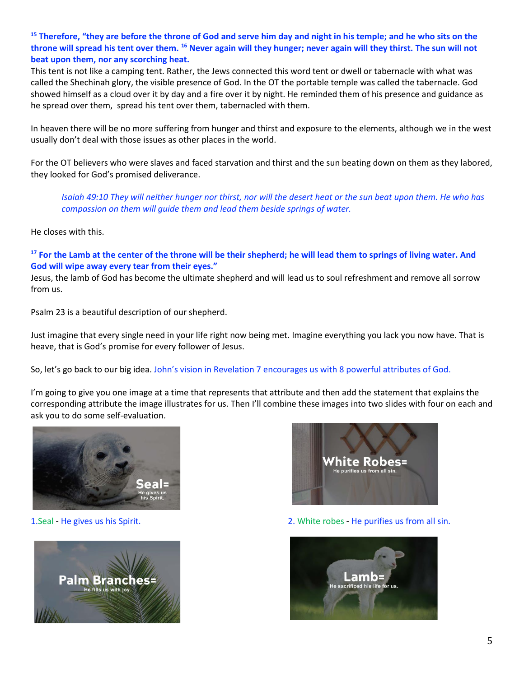## **<sup>15</sup> Therefore, "they are before the throne of God and serve him day and night in his temple; and he who sits on the throne will spread his tent over them. <sup>16</sup> Never again will they hunger; never again will they thirst. The sun will not beat upon them, nor any scorching heat.**

This tent is not like a camping tent. Rather, the Jews connected this word tent or dwell or tabernacle with what was called the Shechinah glory, the visible presence of God. In the OT the portable temple was called the tabernacle. God showed himself as a cloud over it by day and a fire over it by night. He reminded them of his presence and guidance as he spread over them, spread his tent over them, tabernacled with them.

In heaven there will be no more suffering from hunger and thirst and exposure to the elements, although we in the west usually don't deal with those issues as other places in the world.

For the OT believers who were slaves and faced starvation and thirst and the sun beating down on them as they labored, they looked for God's promised deliverance.

*Isaiah 49:10 They will neither hunger nor thirst, nor will the desert heat or the sun beat upon them. He who has compassion on them will guide them and lead them beside springs of water.*

He closes with this.

**<sup>17</sup> For the Lamb at the center of the throne will be their shepherd; he will lead them to springs of living water. And God will wipe away every tear from their eyes."**

Jesus, the lamb of God has become the ultimate shepherd and will lead us to soul refreshment and remove all sorrow from us.

Psalm 23 is a beautiful description of our shepherd.

Just imagine that every single need in your life right now being met. Imagine everything you lack you now have. That is heave, that is God's promise for every follower of Jesus.

So, let's go back to our big idea. John's vision in Revelation 7 encourages us with 8 powerful attributes of God.

I'm going to give you one image at a time that represents that attribute and then add the statement that explains the corresponding attribute the image illustrates for us. Then I'll combine these images into two slides with four on each and ask you to do some self-evaluation.







1.Seal - He gives us his Spirit. 2. White robes - He purifies us from all sin.

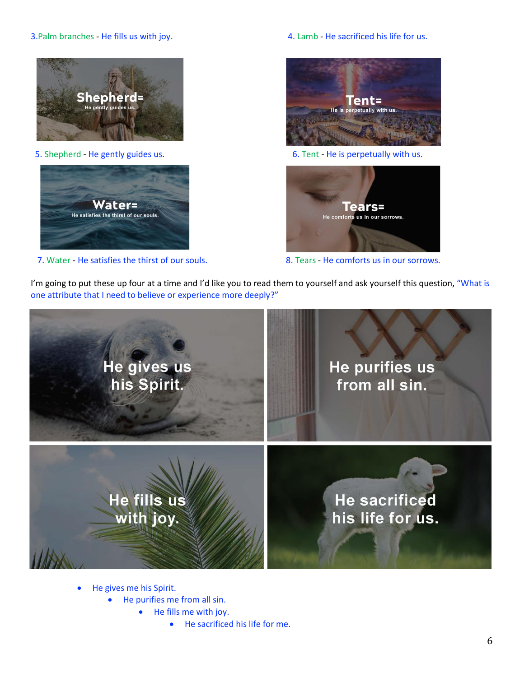#### 3.Palm branches - He fills us with joy. 4. Lamb - He sacrificed his life for us.





7. Water - He satisfies the thirst of our souls. 8. Tears - He comforts us in our sorrows.



5. Shepherd - He gently guides us. The state of the state of the is perpetually with us.



I'm going to put these up four at a time and I'd like you to read them to yourself and ask yourself this question, "What is one attribute that I need to believe or experience more deeply?"



- He gives me his Spirit.
	- He purifies me from all sin.
		- He fills me with joy.
			- He sacrificed his life for me.